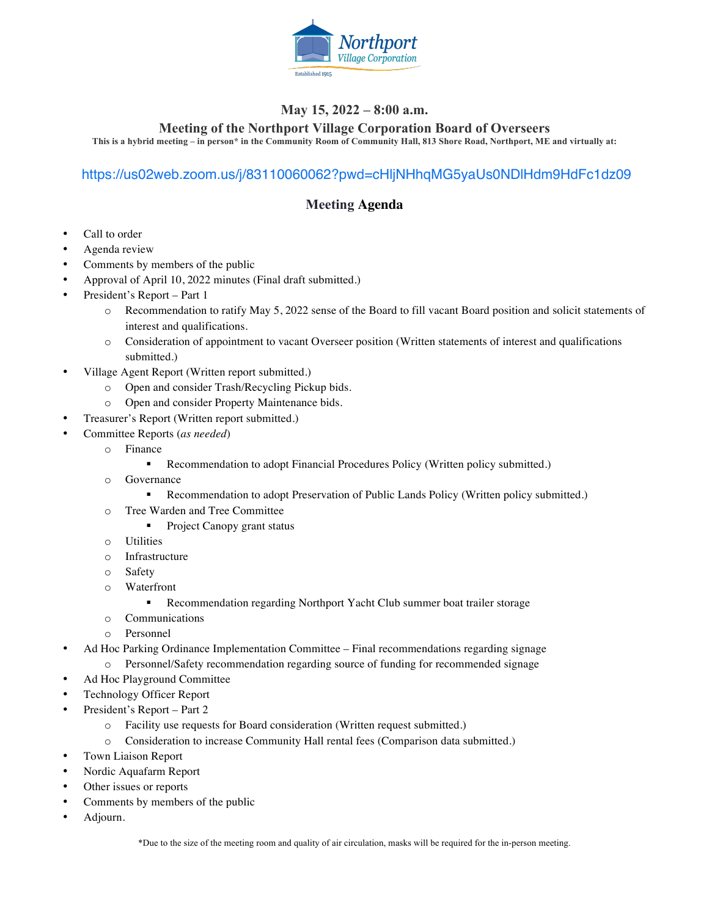

### **May 15, 2022 – 8:00 a.m.**

#### **Meeting of the Northport Village Corporation Board of Overseers**

**This is a hybrid meeting – in person\* in the Community Room of Community Hall, 813 Shore Road, Northport, ME and virtually at:**

#### https://us02web.zoom.us/j/83110060062?pwd=cHljNHhqMG5yaUs0NDlHdm9HdFc1dz09

### **Meeting Agenda**

- Call to order
- Agenda review
- Comments by members of the public
- Approval of April 10, 2022 minutes (Final draft submitted.)
- President's Report Part 1
	- o Recommendation to ratify May 5, 2022 sense of the Board to fill vacant Board position and solicit statements of interest and qualifications.
	- o Consideration of appointment to vacant Overseer position (Written statements of interest and qualifications submitted.)
- Village Agent Report (Written report submitted.)
	- o Open and consider Trash/Recycling Pickup bids.
	- o Open and consider Property Maintenance bids.
- Treasurer's Report (Written report submitted.)
- Committee Reports (*as needed*)
	- o Finance
		- ! Recommendation to adopt Financial Procedures Policy (Written policy submitted.)
	- o Governance
		- ! Recommendation to adopt Preservation of Public Lands Policy (Written policy submitted.)
	- o Tree Warden and Tree Committee
		- Project Canopy grant status
	- o Utilities
	- o Infrastructure
	- o Safety
	- o Waterfront
		- ! Recommendation regarding Northport Yacht Club summer boat trailer storage
	- o Communications
	- o Personnel
- Ad Hoc Parking Ordinance Implementation Committee Final recommendations regarding signage o Personnel/Safety recommendation regarding source of funding for recommended signage
- Ad Hoc Playground Committee
- Technology Officer Report
- President's Report Part 2
	- o Facility use requests for Board consideration (Written request submitted.)
	- o Consideration to increase Community Hall rental fees (Comparison data submitted.)
- Town Liaison Report
- Nordic Aquafarm Report
- Other issues or reports
- Comments by members of the public
- Adjourn.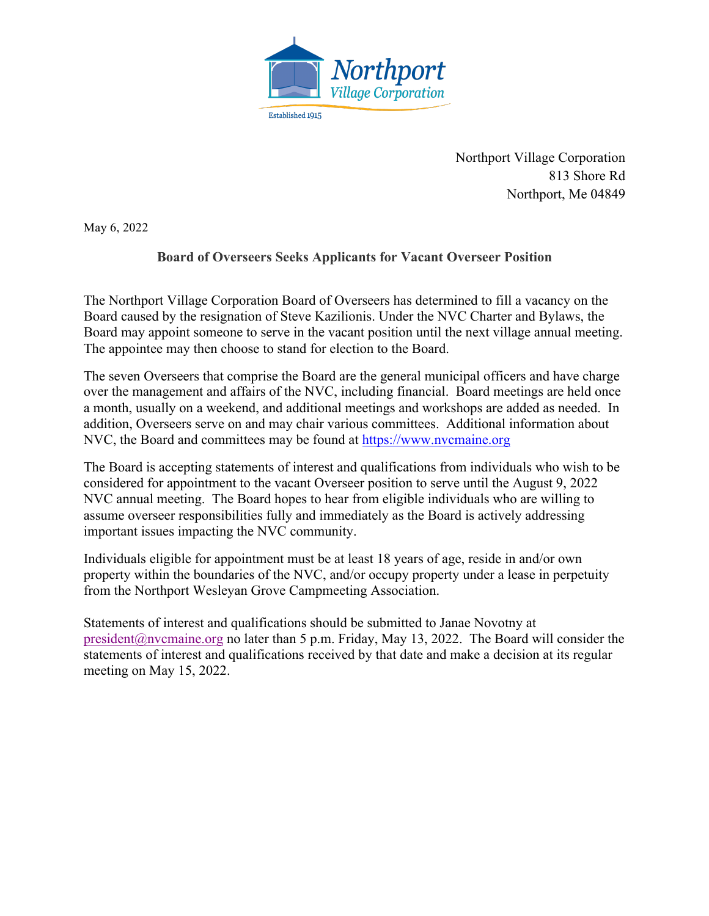

Northport Village Corporation 813 Shore Rd Northport, Me 04849

May 6, 2022

### **Board of Overseers Seeks Applicants for Vacant Overseer Position**

The Northport Village Corporation Board of Overseers has determined to fill a vacancy on the Board caused by the resignation of Steve Kazilionis. Under the NVC Charter and Bylaws, the Board may appoint someone to serve in the vacant position until the next village annual meeting. The appointee may then choose to stand for election to the Board.

The seven Overseers that comprise the Board are the general municipal officers and have charge over the management and affairs of the NVC, including financial. Board meetings are held once a month, usually on a weekend, and additional meetings and workshops are added as needed. In addition, Overseers serve on and may chair various committees. Additional information about NVC, the Board and committees may be found at https://www.nvcmaine.org

The Board is accepting statements of interest and qualifications from individuals who wish to be considered for appointment to the vacant Overseer position to serve until the August 9, 2022 NVC annual meeting. The Board hopes to hear from eligible individuals who are willing to assume overseer responsibilities fully and immediately as the Board is actively addressing important issues impacting the NVC community.

Individuals eligible for appointment must be at least 18 years of age, reside in and/or own property within the boundaries of the NVC, and/or occupy property under a lease in perpetuity from the Northport Wesleyan Grove Campmeeting Association.

Statements of interest and qualifications should be submitted to Janae Novotny at president@nvcmaine.org no later than 5 p.m. Friday, May 13, 2022. The Board will consider the statements of interest and qualifications received by that date and make a decision at its regular meeting on May 15, 2022.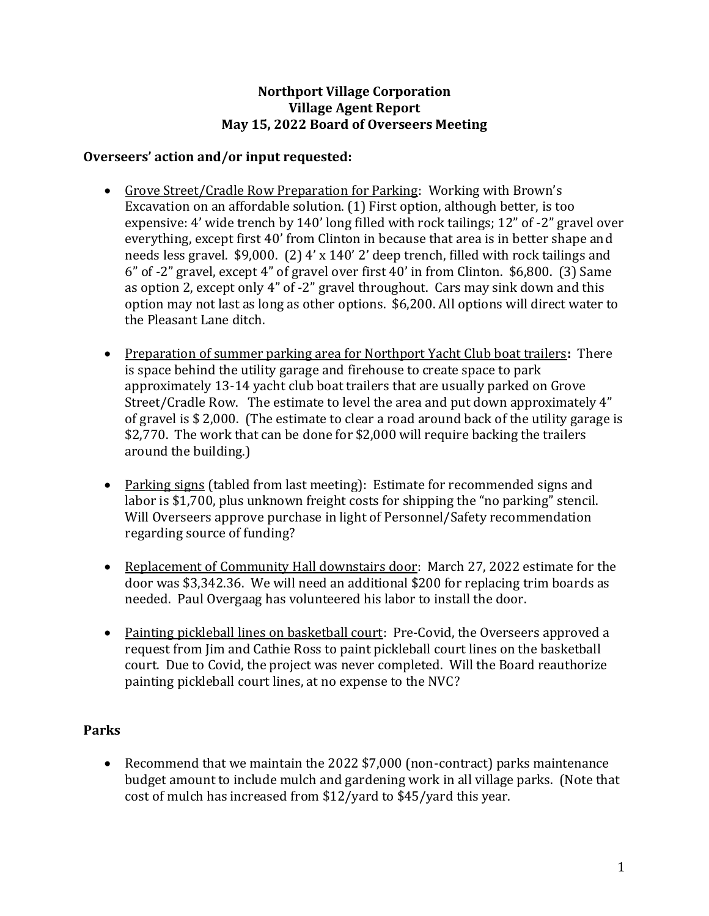### **Northport Village Corporation Village Agent Report May 15, 2022 Board of Overseers Meeting**

### **Overseers' action and/or input requested:**

- Grove Street/Cradle Row Preparation for Parking: Working with Brown's Excavation on an affordable solution. (1) First option, although better, is too expensive: 4' wide trench by 140' long filled with rock tailings; 12" of -2" gravel over everything, except first 40' from Clinton in because that area is in better shape and needs less gravel. \$9,000. (2) 4' x 140' 2' deep trench, filled with rock tailings and 6" of -2" gravel, except 4" of gravel over first 40' in from Clinton. \$6,800. (3) Same as option 2, except only 4" of -2" gravel throughout. Cars may sink down and this option may not last as long as other options. \$6,200. All options will direct water to the Pleasant Lane ditch.
- Preparation of summer parking area for Northport Yacht Club boat trailers**:** There is space behind the utility garage and firehouse to create space to park approximately 13-14 yacht club boat trailers that are usually parked on Grove Street/Cradle Row. The estimate to level the area and put down approximately 4" of gravel is \$ 2,000. (The estimate to clear a road around back of the utility garage is \$2,770. The work that can be done for \$2,000 will require backing the trailers around the building.)
- Parking signs (tabled from last meeting): Estimate for recommended signs and labor is \$1,700, plus unknown freight costs for shipping the "no parking" stencil. Will Overseers approve purchase in light of Personnel/Safety recommendation regarding source of funding?
- Replacement of Community Hall downstairs door: March 27, 2022 estimate for the door was \$3,342.36. We will need an additional \$200 for replacing trim boards as needed. Paul Overgaag has volunteered his labor to install the door.
- Painting pickleball lines on basketball court: Pre-Covid, the Overseers approved a request from Jim and Cathie Ross to paint pickleball court lines on the basketball court. Due to Covid, the project was never completed. Will the Board reauthorize painting pickleball court lines, at no expense to the NVC?

### **Parks**

• Recommend that we maintain the 2022 \$7,000 (non-contract) parks maintenance budget amount to include mulch and gardening work in all village parks. (Note that cost of mulch has increased from \$12/yard to \$45/yard this year.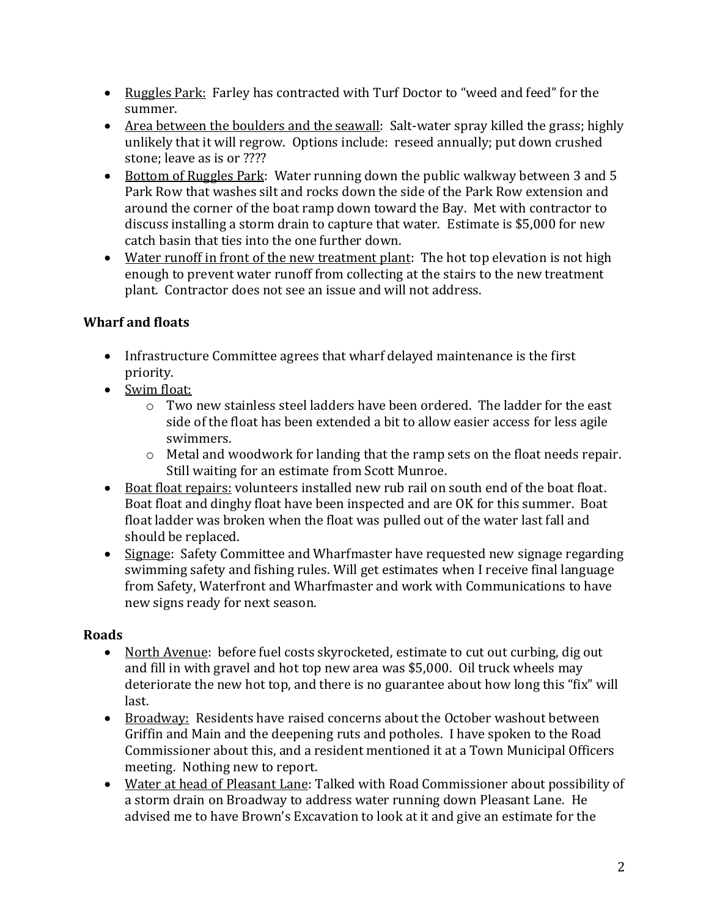- Ruggles Park: Farley has contracted with Turf Doctor to "weed and feed" for the summer.
- Area between the boulders and the seawall: Salt-water spray killed the grass; highly unlikely that it will regrow. Options include: reseed annually; put down crushed stone; leave as is or ????
- Bottom of Ruggles Park: Water running down the public walkway between 3 and 5 Park Row that washes silt and rocks down the side of the Park Row extension and around the corner of the boat ramp down toward the Bay. Met with contractor to discuss installing a storm drain to capture that water. Estimate is \$5,000 for new catch basin that ties into the one further down.
- Water runoff in front of the new treatment plant: The hot top elevation is not high enough to prevent water runoff from collecting at the stairs to the new treatment plant. Contractor does not see an issue and will not address.

# **Wharf and floats**

- Infrastructure Committee agrees that wharf delayed maintenance is the first priority.
- Swim float:
	- $\circ$  Two new stainless steel ladders have been ordered. The ladder for the east side of the float has been extended a bit to allow easier access for less agile swimmers.
	- $\circ$  Metal and woodwork for landing that the ramp sets on the float needs repair. Still waiting for an estimate from Scott Munroe.
- Boat float repairs: volunteers installed new rub rail on south end of the boat float. Boat float and dinghy float have been inspected and are OK for this summer. Boat float ladder was broken when the float was pulled out of the water last fall and should be replaced.
- Signage: Safety Committee and Wharfmaster have requested new signage regarding swimming safety and fishing rules. Will get estimates when I receive final language from Safety, Waterfront and Wharfmaster and work with Communications to have new signs ready for next season.

# **Roads**

- North Avenue: before fuel costs skyrocketed, estimate to cut out curbing, dig out and fill in with gravel and hot top new area was \$5,000. Oil truck wheels may deteriorate the new hot top, and there is no guarantee about how long this "fix" will last.
- Broadway: Residents have raised concerns about the October washout between Griffin and Main and the deepening ruts and potholes. I have spoken to the Road Commissioner about this, and a resident mentioned it at a Town Municipal Officers meeting. Nothing new to report.
- Water at head of Pleasant Lane: Talked with Road Commissioner about possibility of a storm drain on Broadway to address water running down Pleasant Lane. He advised me to have Brown's Excavation to look at it and give an estimate for the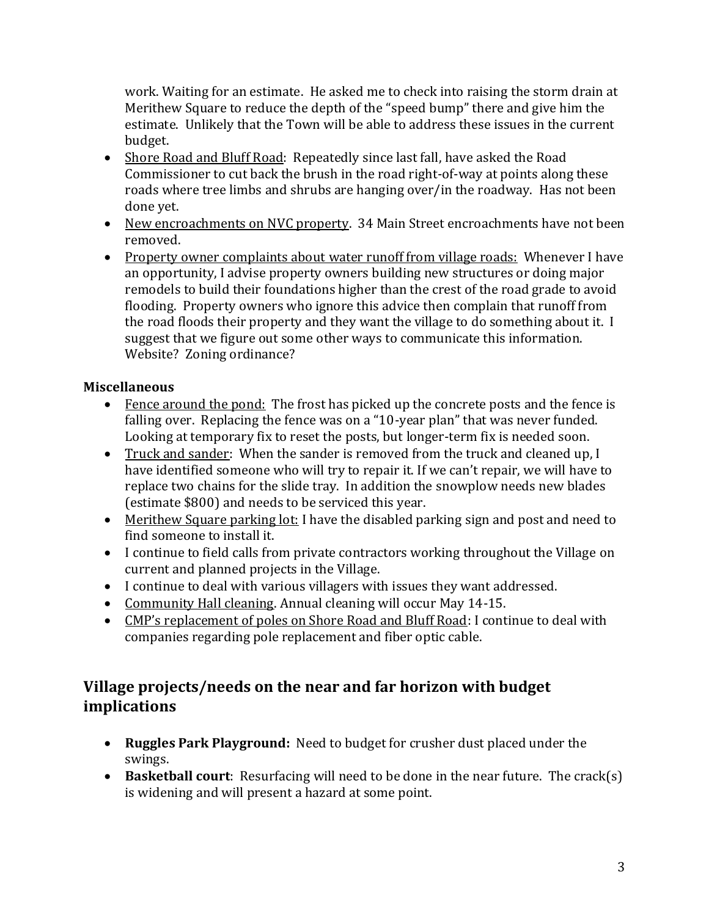work. Waiting for an estimate. He asked me to check into raising the storm drain at Merithew Square to reduce the depth of the "speed bump" there and give him the estimate. Unlikely that the Town will be able to address these issues in the current budget.

- Shore Road and Bluff Road: Repeatedly since last fall, have asked the Road Commissioner to cut back the brush in the road right-of-way at points along these roads where tree limbs and shrubs are hanging over/in the roadway. Has not been done yet.
- New encroachments on NVC property. 34 Main Street encroachments have not been removed.
- Property owner complaints about water runoff from village roads: Whenever I have an opportunity, I advise property owners building new structures or doing major remodels to build their foundations higher than the crest of the road grade to avoid flooding. Property owners who ignore this advice then complain that runoff from the road floods their property and they want the village to do something about it. I suggest that we figure out some other ways to communicate this information. Website? Zoning ordinance?

## **Miscellaneous**

- Fence around the pond: The frost has picked up the concrete posts and the fence is falling over. Replacing the fence was on a "10-year plan" that was never funded. Looking at temporary fix to reset the posts, but longer-term fix is needed soon.
- Truck and sander: When the sander is removed from the truck and cleaned up, I have identified someone who will try to repair it. If we can't repair, we will have to replace two chains for the slide tray. In addition the snowplow needs new blades (estimate \$800) and needs to be serviced this year.
- Merithew Square parking lot: I have the disabled parking sign and post and need to find someone to install it.
- I continue to field calls from private contractors working throughout the Village on current and planned projects in the Village.
- I continue to deal with various villagers with issues they want addressed.
- Community Hall cleaning. Annual cleaning will occur May 14-15.
- CMP's replacement of poles on Shore Road and Bluff Road: I continue to deal with companies regarding pole replacement and fiber optic cable.

# **Village projects/needs on the near and far horizon with budget implications**

- **Ruggles Park Playground:** Need to budget for crusher dust placed under the swings.
- **Basketball court**: Resurfacing will need to be done in the near future. The crack(s) is widening and will present a hazard at some point.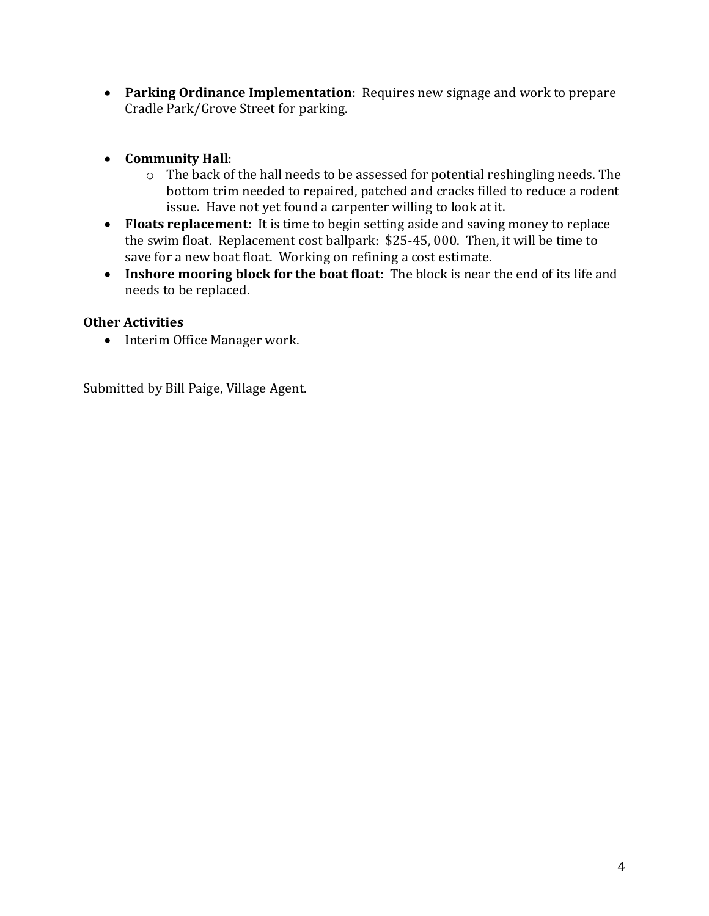- **Parking Ordinance Implementation**: Requires new signage and work to prepare Cradle Park/Grove Street for parking.
- **Community Hall**:
	- o The back of the hall needs to be assessed for potential reshingling needs. The bottom trim needed to repaired, patched and cracks filled to reduce a rodent issue. Have not yet found a carpenter willing to look at it.
- **Floats replacement:** It is time to begin setting aside and saving money to replace the swim float. Replacement cost ballpark: \$25-45, 000. Then, it will be time to save for a new boat float. Working on refining a cost estimate.
- **Inshore mooring block for the boat float**: The block is near the end of its life and needs to be replaced.

### **Other Activities**

• Interim Office Manager work.

Submitted by Bill Paige, Village Agent.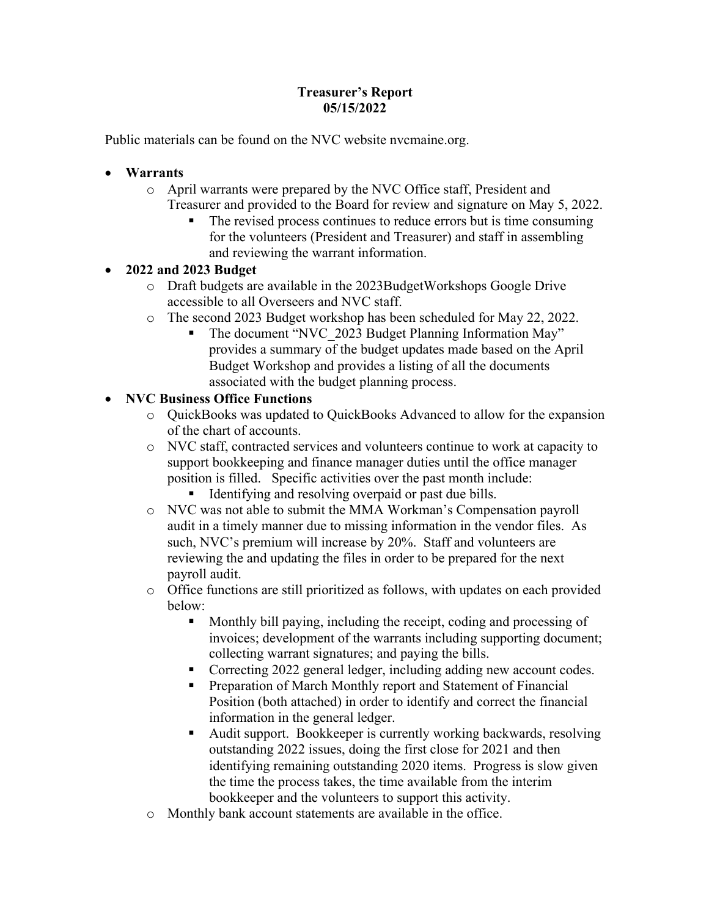### **Treasurer's Report 05/15/2022**

Public materials can be found on the NVC website nvcmaine.org.

- **Warrants**
	- o April warrants were prepared by the NVC Office staff, President and Treasurer and provided to the Board for review and signature on May 5, 2022.
		- ! The revised process continues to reduce errors but is time consuming for the volunteers (President and Treasurer) and staff in assembling and reviewing the warrant information.

### • **2022 and 2023 Budget**

- o Draft budgets are available in the 2023BudgetWorkshops Google Drive accessible to all Overseers and NVC staff.
- o The second 2023 Budget workshop has been scheduled for May 22, 2022.
	- The document "NVC\_2023 Budget Planning Information May" provides a summary of the budget updates made based on the April Budget Workshop and provides a listing of all the documents associated with the budget planning process.

### • **NVC Business Office Functions**

- o QuickBooks was updated to QuickBooks Advanced to allow for the expansion of the chart of accounts.
- o NVC staff, contracted services and volunteers continue to work at capacity to support bookkeeping and finance manager duties until the office manager position is filled. Specific activities over the past month include: Identifying and resolving overpaid or past due bills.
- o NVC was not able to submit the MMA Workman's Compensation payroll audit in a timely manner due to missing information in the vendor files. As such, NVC's premium will increase by 20%. Staff and volunteers are reviewing the and updating the files in order to be prepared for the next payroll audit.
- o Office functions are still prioritized as follows, with updates on each provided below:
	- ! Monthly bill paying, including the receipt, coding and processing of invoices; development of the warrants including supporting document; collecting warrant signatures; and paying the bills.
	- ! Correcting 2022 general ledger, including adding new account codes.
	- Preparation of March Monthly report and Statement of Financial Position (both attached) in order to identify and correct the financial information in the general ledger.
	- ! Audit support. Bookkeeper is currently working backwards, resolving outstanding 2022 issues, doing the first close for 2021 and then identifying remaining outstanding 2020 items. Progress is slow given the time the process takes, the time available from the interim bookkeeper and the volunteers to support this activity.
- o Monthly bank account statements are available in the office.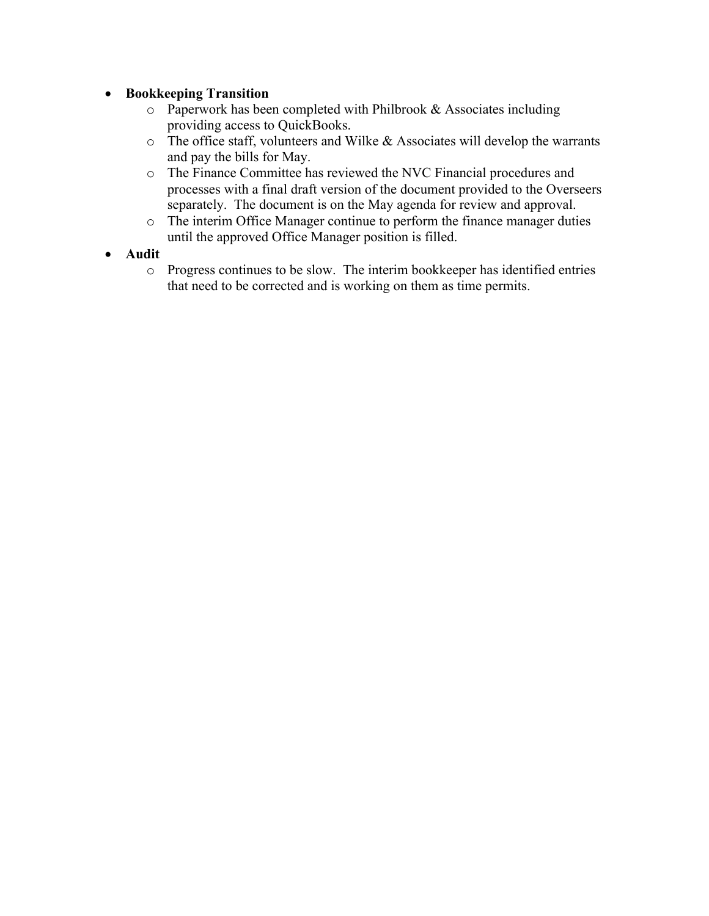### • **Bookkeeping Transition**

- o Paperwork has been completed with Philbrook & Associates including providing access to QuickBooks.
- o The office staff, volunteers and Wilke & Associates will develop the warrants and pay the bills for May.
- o The Finance Committee has reviewed the NVC Financial procedures and processes with a final draft version of the document provided to the Overseers separately. The document is on the May agenda for review and approval.
- o The interim Office Manager continue to perform the finance manager duties until the approved Office Manager position is filled.
- **Audit**
	- o Progress continues to be slow. The interim bookkeeper has identified entries that need to be corrected and is working on them as time permits.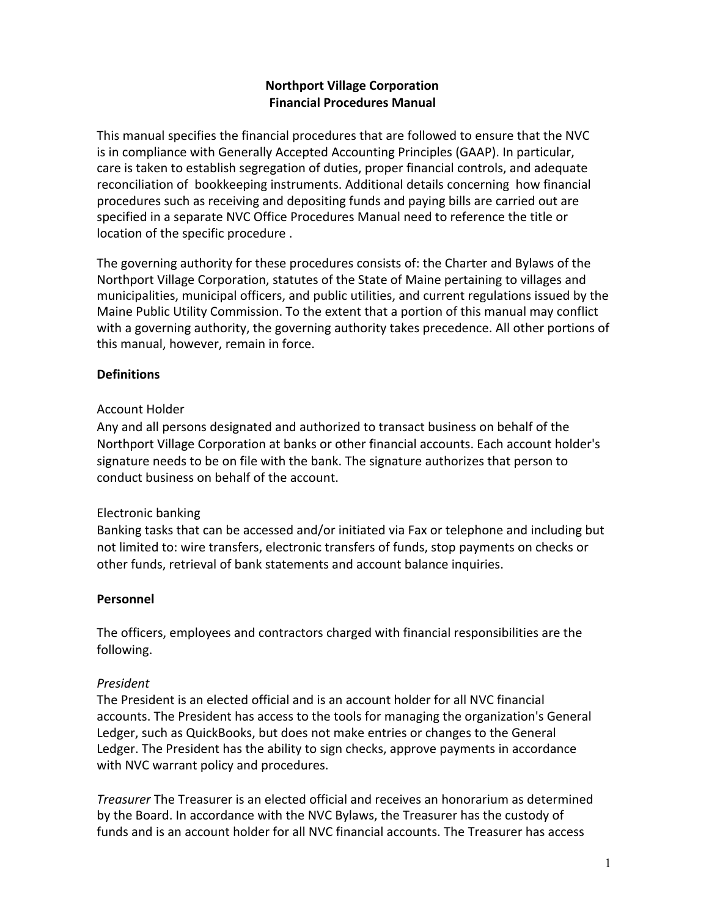### **Northport Village Corporation Financial Procedures Manual**

This manual specifies the financial procedures that are followed to ensure that the NVC is in compliance with Generally Accepted Accounting Principles (GAAP). In particular, care is taken to establish segregation of duties, proper financial controls, and adequate reconciliation of bookkeeping instruments. Additional details concerning how financial procedures such as receiving and depositing funds and paying bills are carried out are specified in a separate NVC Office Procedures Manual need to reference the title or location of the specific procedure .

The governing authority for these procedures consists of: the Charter and Bylaws of the Northport Village Corporation, statutes of the State of Maine pertaining to villages and municipalities, municipal officers, and public utilities, and current regulations issued by the Maine Public Utility Commission. To the extent that a portion of this manual may conflict with a governing authority, the governing authority takes precedence. All other portions of this manual, however, remain in force.

### **Definitions**

### Account Holder

Any and all persons designated and authorized to transact business on behalf of the Northport Village Corporation at banks or other financial accounts. Each account holder's signature needs to be on file with the bank. The signature authorizes that person to conduct business on behalf of the account.

### Electronic banking

Banking tasks that can be accessed and/or initiated via Fax or telephone and including but not limited to: wire transfers, electronic transfers of funds, stop payments on checks or other funds, retrieval of bank statements and account balance inquiries.

### **Personnel**

The officers, employees and contractors charged with financial responsibilities are the following.

### *President*

The President is an elected official and is an account holder for all NVC financial accounts. The President has access to the tools for managing the organization's General Ledger, such as QuickBooks, but does not make entries or changes to the General Ledger. The President has the ability to sign checks, approve payments in accordance with NVC warrant policy and procedures.

*Treasurer* The Treasurer is an elected official and receives an honorarium as determined by the Board. In accordance with the NVC Bylaws, the Treasurer has the custody of funds and is an account holder for all NVC financial accounts. The Treasurer has access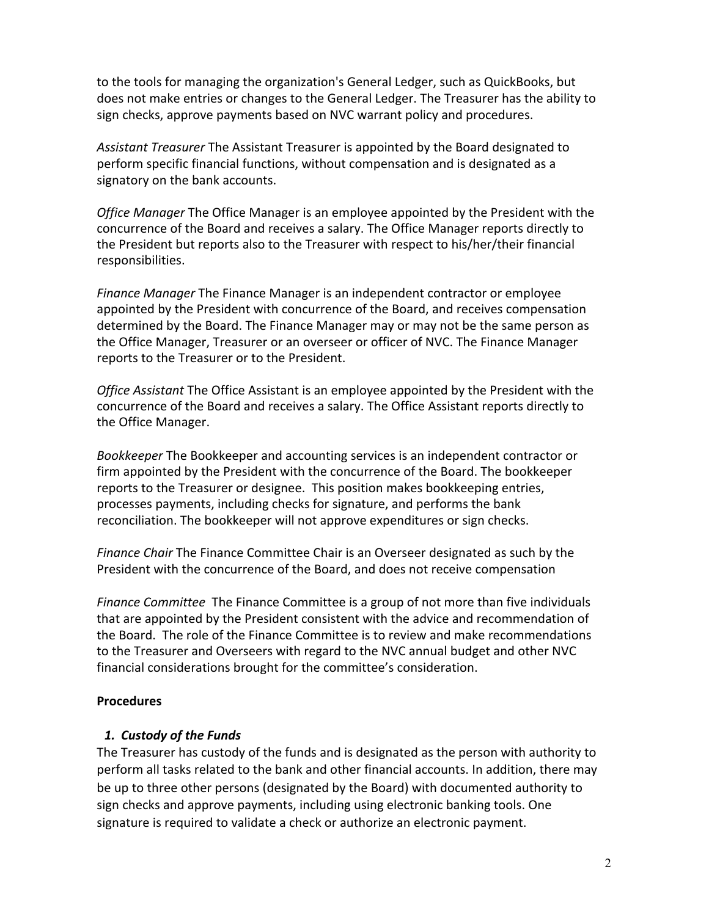to the tools for managing the organization's General Ledger, such as QuickBooks, but does not make entries or changes to the General Ledger. The Treasurer has the ability to sign checks, approve payments based on NVC warrant policy and procedures.

*Assistant Treasurer* The Assistant Treasurer is appointed by the Board designated to perform specific financial functions, without compensation and is designated as a signatory on the bank accounts.

*Office Manager* The Office Manager is an employee appointed by the President with the concurrence of the Board and receives a salary. The Office Manager reports directly to the President but reports also to the Treasurer with respect to his/her/their financial responsibilities.

*Finance Manager* The Finance Manager is an independent contractor or employee appointed by the President with concurrence of the Board, and receives compensation determined by the Board. The Finance Manager may or may not be the same person as the Office Manager, Treasurer or an overseer or officer of NVC. The Finance Manager reports to the Treasurer or to the President.

*Office Assistant* The Office Assistant is an employee appointed by the President with the concurrence of the Board and receives a salary. The Office Assistant reports directly to the Office Manager.

*Bookkeeper* The Bookkeeper and accounting services is an independent contractor or firm appointed by the President with the concurrence of the Board. The bookkeeper reports to the Treasurer or designee. This position makes bookkeeping entries, processes payments, including checks for signature, and performs the bank reconciliation. The bookkeeper will not approve expenditures or sign checks.

*Finance Chair* The Finance Committee Chair is an Overseer designated as such by the President with the concurrence of the Board, and does not receive compensation

*Finance Committee* The Finance Committee is a group of not more than five individuals that are appointed by the President consistent with the advice and recommendation of the Board. The role of the Finance Committee is to review and make recommendations to the Treasurer and Overseers with regard to the NVC annual budget and other NVC financial considerations brought for the committee's consideration.

#### **Procedures**

### *1. Custody of the Funds*

The Treasurer has custody of the funds and is designated as the person with authority to perform all tasks related to the bank and other financial accounts. In addition, there may be up to three other persons (designated by the Board) with documented authority to sign checks and approve payments, including using electronic banking tools. One signature is required to validate a check or authorize an electronic payment.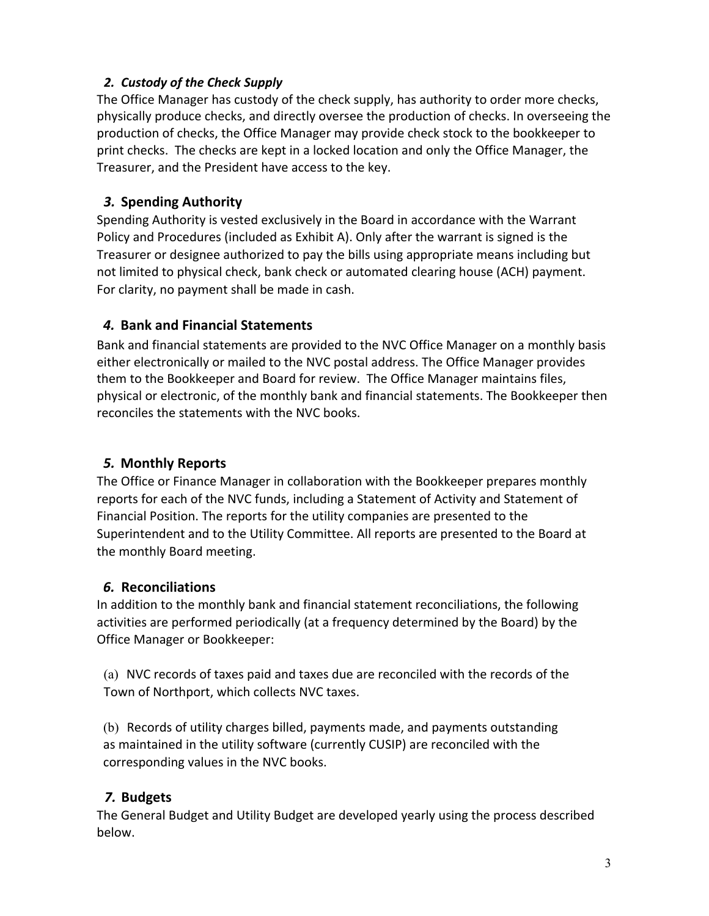### *2. Custody of the Check Supply*

The Office Manager has custody of the check supply, has authority to order more checks, physically produce checks, and directly oversee the production of checks. In overseeing the production of checks, the Office Manager may provide check stock to the bookkeeper to print checks. The checks are kept in a locked location and only the Office Manager, the Treasurer, and the President have access to the key.

### *3.* **Spending Authority**

Spending Authority is vested exclusively in the Board in accordance with the Warrant Policy and Procedures (included as Exhibit A). Only after the warrant is signed is the Treasurer or designee authorized to pay the bills using appropriate means including but not limited to physical check, bank check or automated clearing house (ACH) payment. For clarity, no payment shall be made in cash.

### *4.* **Bank and Financial Statements**

Bank and financial statements are provided to the NVC Office Manager on a monthly basis either electronically or mailed to the NVC postal address. The Office Manager provides them to the Bookkeeper and Board for review. The Office Manager maintains files, physical or electronic, of the monthly bank and financial statements. The Bookkeeper then reconciles the statements with the NVC books.

### *5.* **Monthly Reports**

The Office or Finance Manager in collaboration with the Bookkeeper prepares monthly reports for each of the NVC funds, including a Statement of Activity and Statement of Financial Position. The reports for the utility companies are presented to the Superintendent and to the Utility Committee. All reports are presented to the Board at the monthly Board meeting.

### *6.* **Reconciliations**

In addition to the monthly bank and financial statement reconciliations, the following activities are performed periodically (at a frequency determined by the Board) by the Office Manager or Bookkeeper:

(a) NVC records of taxes paid and taxes due are reconciled with the records of the Town of Northport, which collects NVC taxes.

(b) Records of utility charges billed, payments made, and payments outstanding as maintained in the utility software (currently CUSIP) are reconciled with the corresponding values in the NVC books.

### *7.* **Budgets**

The General Budget and Utility Budget are developed yearly using the process described below.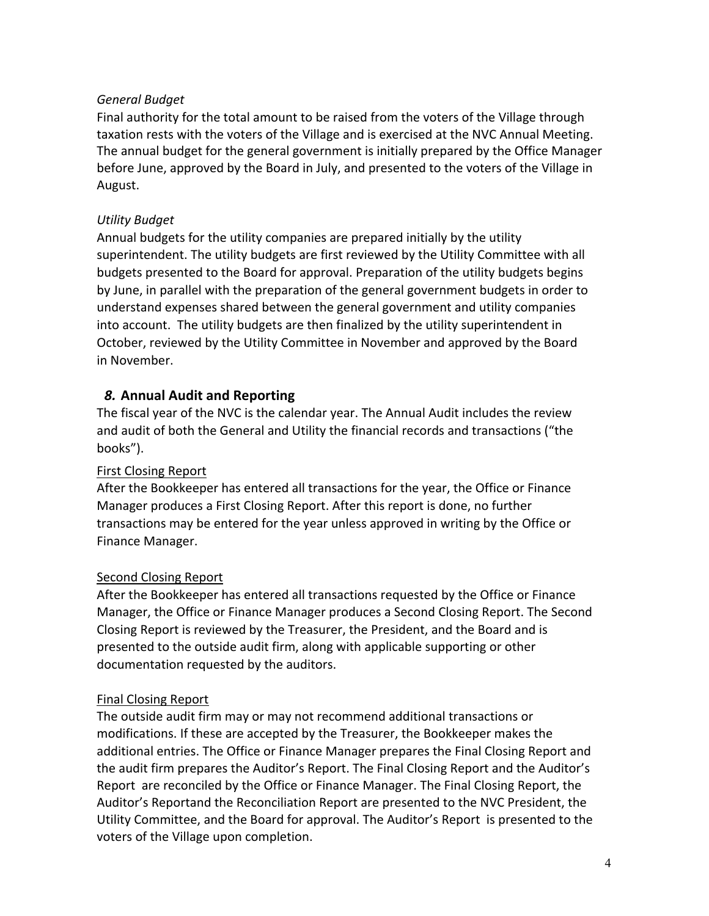### *General Budget*

Final authority for the total amount to be raised from the voters of the Village through taxation rests with the voters of the Village and is exercised at the NVC Annual Meeting. The annual budget for the general government is initially prepared by the Office Manager before June, approved by the Board in July, and presented to the voters of the Village in August.

### *Utility Budget*

Annual budgets for the utility companies are prepared initially by the utility superintendent. The utility budgets are first reviewed by the Utility Committee with all budgets presented to the Board for approval. Preparation of the utility budgets begins by June, in parallel with the preparation of the general government budgets in order to understand expenses shared between the general government and utility companies into account. The utility budgets are then finalized by the utility superintendent in October, reviewed by the Utility Committee in November and approved by the Board in November.

### *8.* **Annual Audit and Reporting**

The fiscal year of the NVC is the calendar year. The Annual Audit includes the review and audit of both the General and Utility the financial records and transactions ("the books").

### First Closing Report

After the Bookkeeper has entered all transactions for the year, the Office or Finance Manager produces a First Closing Report. After this report is done, no further transactions may be entered for the year unless approved in writing by the Office or Finance Manager.

### Second Closing Report

After the Bookkeeper has entered all transactions requested by the Office or Finance Manager, the Office or Finance Manager produces a Second Closing Report. The Second Closing Report is reviewed by the Treasurer, the President, and the Board and is presented to the outside audit firm, along with applicable supporting or other documentation requested by the auditors.

### Final Closing Report

The outside audit firm may or may not recommend additional transactions or modifications. If these are accepted by the Treasurer, the Bookkeeper makes the additional entries. The Office or Finance Manager prepares the Final Closing Report and the audit firm prepares the Auditor's Report. The Final Closing Report and the Auditor's Report are reconciled by the Office or Finance Manager. The Final Closing Report, the Auditor's Reportand the Reconciliation Report are presented to the NVC President, the Utility Committee, and the Board for approval. The Auditor's Report is presented to the voters of the Village upon completion.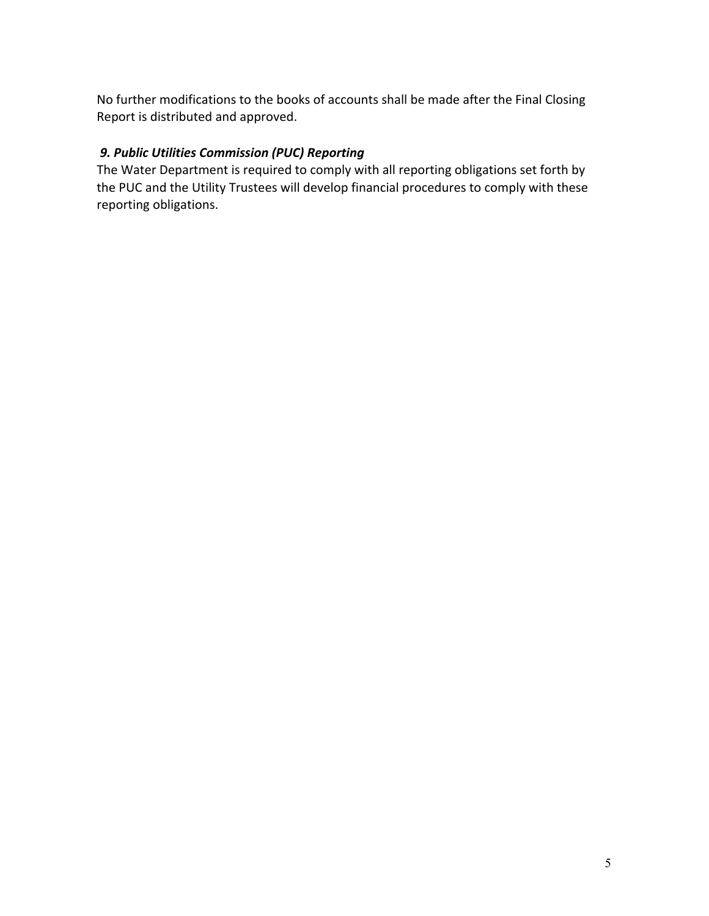No further modifications to the books of accounts shall be made after the Final Closing Report is distributed and approved.

### *9. Public Utilities Commission (PUC) Reporting*

The Water Department is required to comply with all reporting obligations set forth by the PUC and the Utility Trustees will develop financial procedures to comply with these reporting obligations.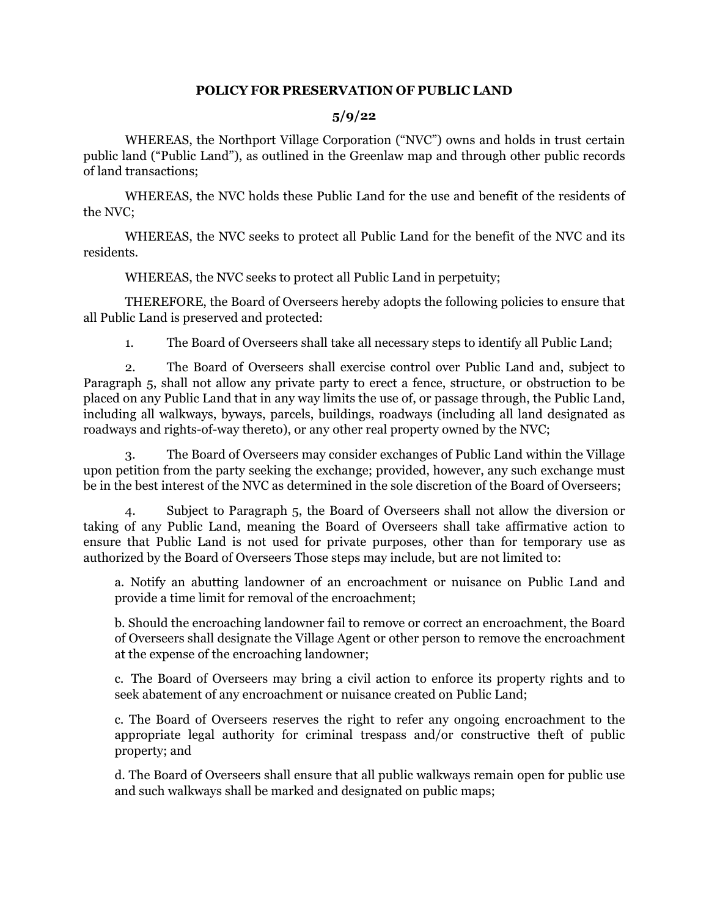#### **POLICY FOR PRESERVATION OF PUBLIC LAND**

#### **5/9/22**

 WHEREAS, the Northport Village Corporation ("NVC") owns and holds in trust certain public land ("Public Land"), as outlined in the Greenlaw map and through other public records of land transactions;

 WHEREAS, the NVC holds these Public Land for the use and benefit of the residents of the NVC;

 WHEREAS, the NVC seeks to protect all Public Land for the benefit of the NVC and its residents.

WHEREAS, the NVC seeks to protect all Public Land in perpetuity;

 THEREFORE, the Board of Overseers hereby adopts the following policies to ensure that all Public Land is preserved and protected:

1. The Board of Overseers shall take all necessary steps to identify all Public Land;

 2. The Board of Overseers shall exercise control over Public Land and, subject to Paragraph 5, shall not allow any private party to erect a fence, structure, or obstruction to be placed on any Public Land that in any way limits the use of, or passage through, the Public Land, including all walkways, byways, parcels, buildings, roadways (including all land designated as roadways and rights-of-way thereto), or any other real property owned by the NVC;

 3. The Board of Overseers may consider exchanges of Public Land within the Village upon petition from the party seeking the exchange; provided, however, any such exchange must be in the best interest of the NVC as determined in the sole discretion of the Board of Overseers;

 4. Subject to Paragraph 5, the Board of Overseers shall not allow the diversion or taking of any Public Land, meaning the Board of Overseers shall take affirmative action to ensure that Public Land is not used for private purposes, other than for temporary use as authorized by the Board of Overseers Those steps may include, but are not limited to:

a. Notify an abutting landowner of an encroachment or nuisance on Public Land and provide a time limit for removal of the encroachment;

b. Should the encroaching landowner fail to remove or correct an encroachment, the Board of Overseers shall designate the Village Agent or other person to remove the encroachment at the expense of the encroaching landowner;

c. The Board of Overseers may bring a civil action to enforce its property rights and to seek abatement of any encroachment or nuisance created on Public Land;

c. The Board of Overseers reserves the right to refer any ongoing encroachment to the appropriate legal authority for criminal trespass and/or constructive theft of public property; and

d. The Board of Overseers shall ensure that all public walkways remain open for public use and such walkways shall be marked and designated on public maps;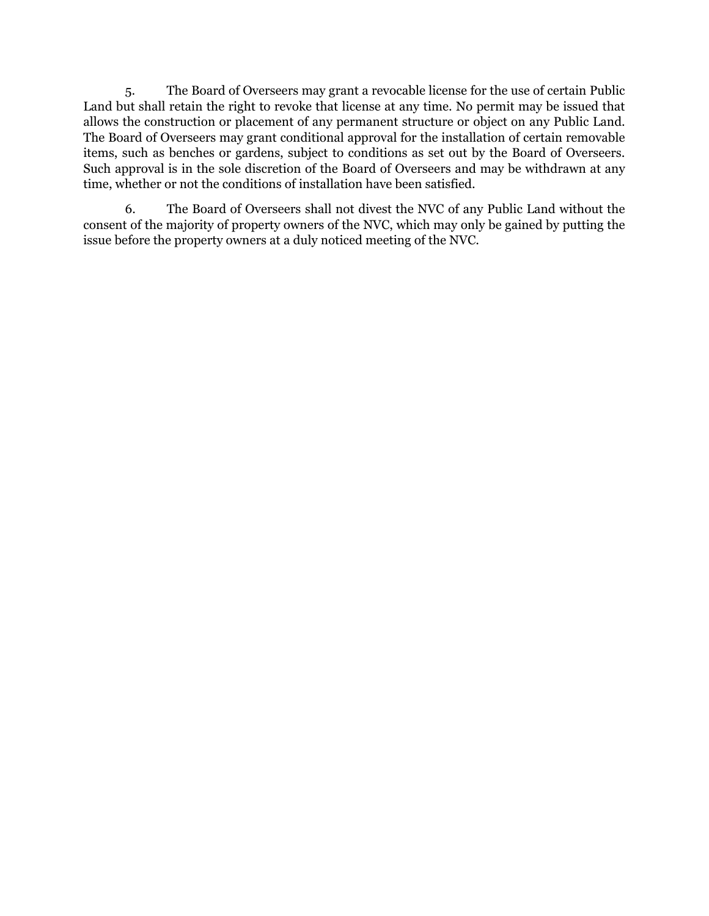5. The Board of Overseers may grant a revocable license for the use of certain Public Land but shall retain the right to revoke that license at any time. No permit may be issued that allows the construction or placement of any permanent structure or object on any Public Land. The Board of Overseers may grant conditional approval for the installation of certain removable items, such as benches or gardens, subject to conditions as set out by the Board of Overseers. Such approval is in the sole discretion of the Board of Overseers and may be withdrawn at any time, whether or not the conditions of installation have been satisfied.

6. The Board of Overseers shall not divest the NVC of any Public Land without the consent of the majority of property owners of the NVC, which may only be gained by putting the issue before the property owners at a duly noticed meeting of the NVC.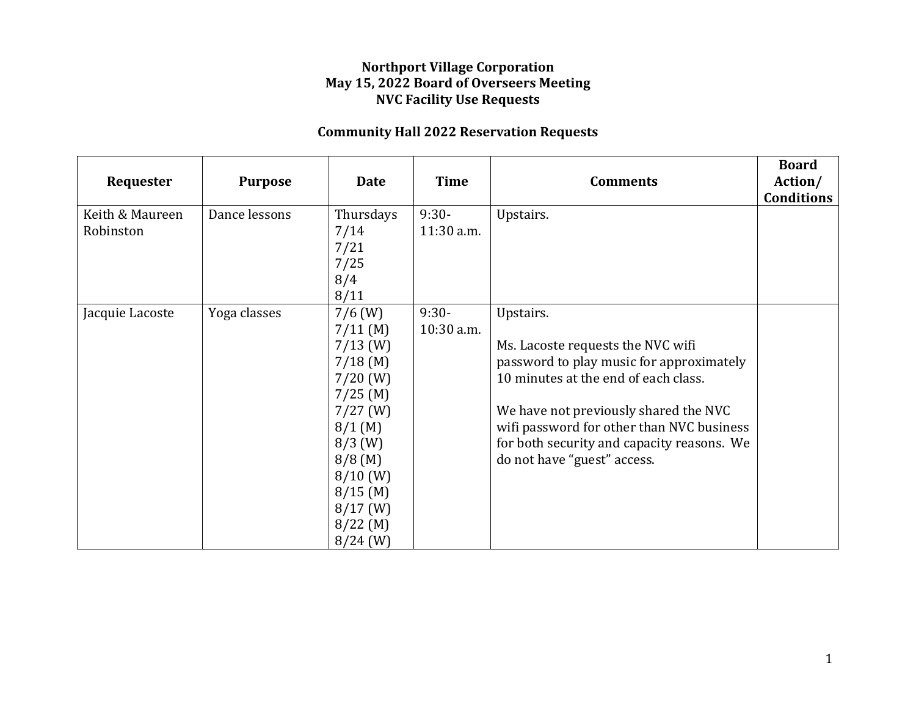### **Northport Village Corporation May 15, 2022 Board of Overseers Meeting NVC Facility Use Requests**

## **Community Hall 2022 Reservation Requests**

| Requester                    | <b>Purpose</b> | <b>Date</b>                                                                                                                                                                                                | <b>Time</b>           | <b>Comments</b>                                                                                                                                                                                                                                                                                       | <b>Board</b><br>Action/<br><b>Conditions</b> |
|------------------------------|----------------|------------------------------------------------------------------------------------------------------------------------------------------------------------------------------------------------------------|-----------------------|-------------------------------------------------------------------------------------------------------------------------------------------------------------------------------------------------------------------------------------------------------------------------------------------------------|----------------------------------------------|
| Keith & Maureen<br>Robinston | Dance lessons  | Thursdays<br>7/14<br>7/21<br>7/25<br>8/4<br>8/11                                                                                                                                                           | $9:30-$<br>11:30 a.m. | Upstairs.                                                                                                                                                                                                                                                                                             |                                              |
| Jacquie Lacoste              | Yoga classes   | $7/6$ (W)<br>$7/11$ (M)<br>$7/13$ (W)<br>$7/18$ (M)<br>$7/20$ (W)<br>$7/25$ (M)<br>$7/27$ (W)<br>$8/1$ (M)<br>$8/3$ (W)<br>$8/8$ (M)<br>$8/10$ (W)<br>$8/15$ (M)<br>$8/17$ (W)<br>$8/22$ (M)<br>$8/24$ (W) | $9:30-$<br>10:30 a.m. | Upstairs.<br>Ms. Lacoste requests the NVC wifi<br>password to play music for approximately<br>10 minutes at the end of each class.<br>We have not previously shared the NVC<br>wifi password for other than NVC business<br>for both security and capacity reasons. We<br>do not have "guest" access. |                                              |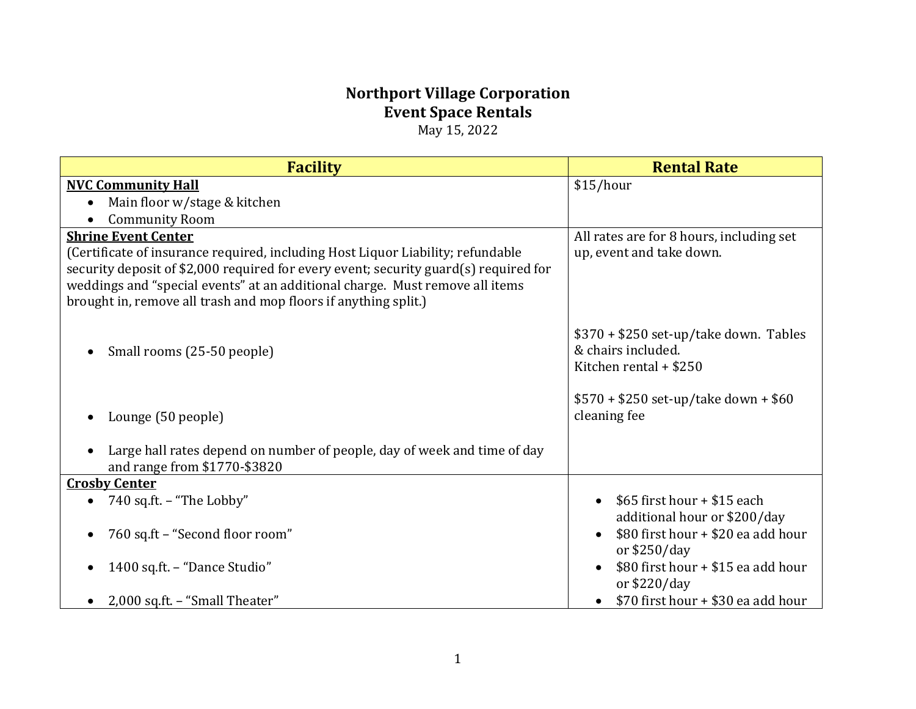# **Northport Village Corporation Event Space Rentals** May 15, 2022

| <b>Facility</b>                                                                                                                                                                                                                                                                                                                                          | <b>Rental Rate</b>                                                                               |
|----------------------------------------------------------------------------------------------------------------------------------------------------------------------------------------------------------------------------------------------------------------------------------------------------------------------------------------------------------|--------------------------------------------------------------------------------------------------|
| <b>NVC Community Hall</b>                                                                                                                                                                                                                                                                                                                                | \$15/hour                                                                                        |
| Main floor w/stage & kitchen                                                                                                                                                                                                                                                                                                                             |                                                                                                  |
| <b>Community Room</b>                                                                                                                                                                                                                                                                                                                                    |                                                                                                  |
| <b>Shrine Event Center</b><br>(Certificate of insurance required, including Host Liquor Liability; refundable<br>security deposit of \$2,000 required for every event; security guard(s) required for<br>weddings and "special events" at an additional charge. Must remove all items<br>brought in, remove all trash and mop floors if anything split.) | All rates are for 8 hours, including set<br>up, event and take down.                             |
| Small rooms (25-50 people)<br>$\bullet$                                                                                                                                                                                                                                                                                                                  | $$370 + $250$ set-up/take down. Tables<br>& chairs included.<br>Kitchen rental + \$250           |
| Lounge (50 people)                                                                                                                                                                                                                                                                                                                                       | $$570 + $250$ set-up/take down + \$60<br>cleaning fee                                            |
| Large hall rates depend on number of people, day of week and time of day<br>$\bullet$<br>and range from \$1770-\$3820                                                                                                                                                                                                                                    |                                                                                                  |
| <b>Crosby Center</b>                                                                                                                                                                                                                                                                                                                                     |                                                                                                  |
| 740 sq.ft. - "The Lobby"<br>$\bullet$                                                                                                                                                                                                                                                                                                                    | \$65 first hour + \$15 each                                                                      |
| 760 sq.ft - "Second floor room"<br>$\bullet$                                                                                                                                                                                                                                                                                                             | additional hour or \$200/day<br>\$80 first hour + \$20 ea add hour<br>$\bullet$<br>or $$250/day$ |
| 1400 sq.ft. - "Dance Studio"                                                                                                                                                                                                                                                                                                                             | \$80 first hour + \$15 ea add hour<br>or $$220/day$                                              |
| 2,000 sq.ft. - "Small Theater"                                                                                                                                                                                                                                                                                                                           | \$70 first hour + \$30 ea add hour                                                               |